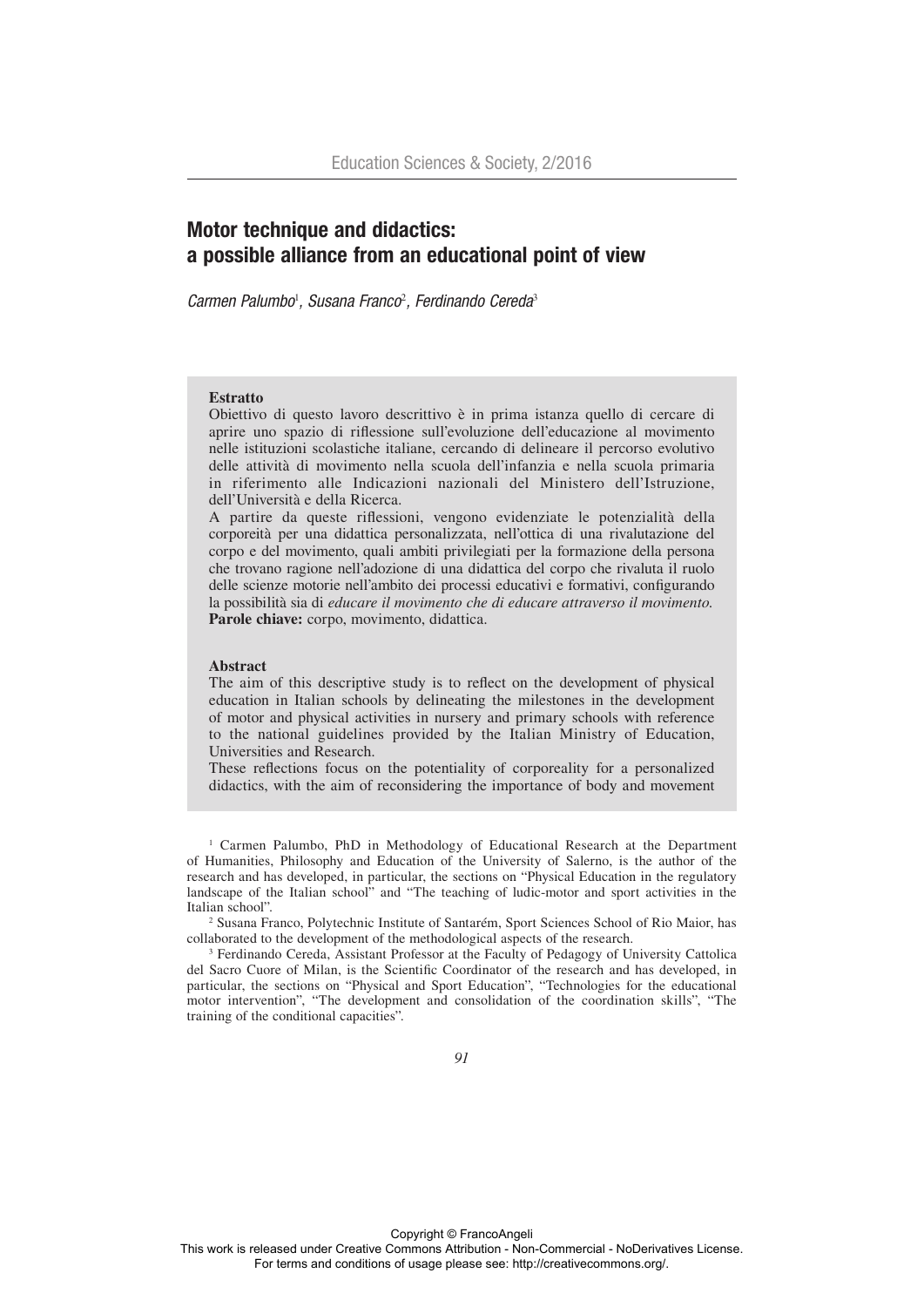# Motor technique and didactics: a possible alliance from an educational point of view

*Carmen Palumbo*<sup>1</sup> *, Susana Franco*<sup>2</sup> *, Ferdinando Cereda*<sup>3</sup>

## **Estratto**

Obiettivo di questo lavoro descrittivo è in prima istanza quello di cercare di aprire uno spazio di riflessione sull'evoluzione dell'educazione al movimento nelle istituzioni scolastiche italiane, cercando di delineare il percorso evolutivo delle attività di movimento nella scuola dell'infanzia e nella scuola primaria in riferimento alle Indicazioni nazionali del Ministero dell'Istruzione, dell'Università e della Ricerca.

A partire da queste riflessioni, vengono evidenziate le potenzialità della corporeità per una didattica personalizzata, nell'ottica di una rivalutazione del corpo e del movimento, quali ambiti privilegiati per la formazione della persona che trovano ragione nell'adozione di una didattica del corpo che rivaluta il ruolo delle scienze motorie nell'ambito dei processi educativi e formativi, configurando la possibilità sia di *educare il movimento che di educare attraverso il movimento.* Parole chiave: corpo, movimento, didattica.

#### **Abstract**

The aim of this descriptive study is to reflect on the development of physical education in Italian schools by delineating the milestones in the development of motor and physical activities in nursery and primary schools with reference to the national guidelines provided by the Italian Ministry of Education, Universities and Research.

These reflections focus on the potentiality of corporeality for a personalized didactics, with the aim of reconsidering the importance of body and movement

1 Carmen Palumbo, PhD in Methodology of Educational Research at the Department of Humanities, Philosophy and Education of the University of Salerno, is the author of the research and has developed, in particular, the sections on "Physical Education in the regulatory landscape of the Italian school" and "The teaching of ludic-motor and sport activities in the Italian school".

2 Susana Franco, Polytechnic Institute of Santarém, Sport Sciences School of Rio Maior, has collaborated to the development of the methodological aspects of the research.

3 Ferdinando Cereda, Assistant Professor at the Faculty of Pedagogy of University Cattolica del Sacro Cuore of Milan, is the Scientific Coordinator of the research and has developed, in particular, the sections on "Physical and Sport Education", "Technologies for the educational motor intervention", "The development and consolidation of the coordination skills", "The training of the conditional capacities".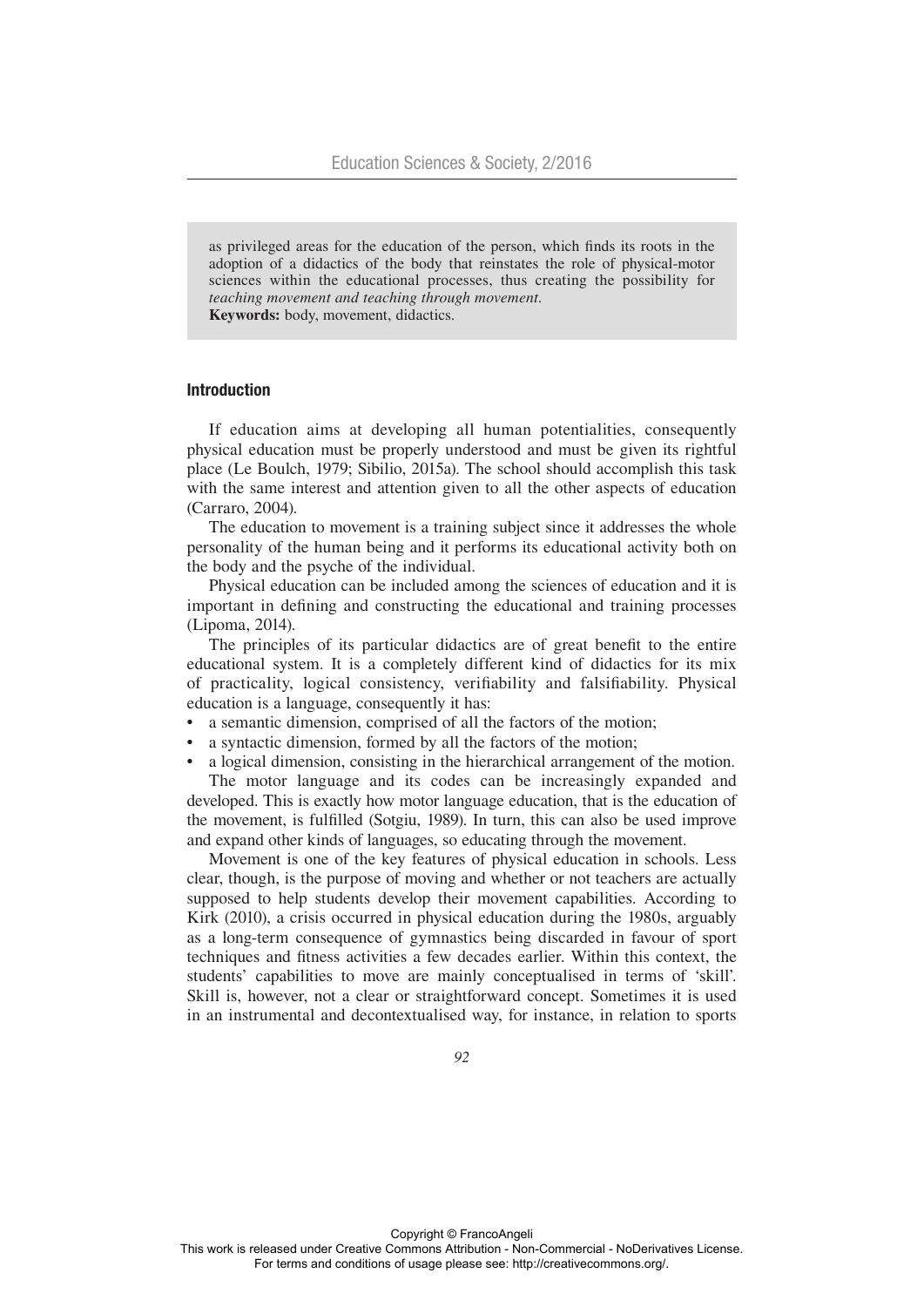as privileged areas for the education of the person, which finds its roots in the adoption of a didactics of the body that reinstates the role of physical-motor sciences within the educational processes, thus creating the possibility for *teaching movement and teaching through movement.* **Keywords:** body, movement, didactics.

## Introduction

If education aims at developing all human potentialities, consequently physical education must be properly understood and must be given its rightful place (Le Boulch, 1979; Sibilio, 2015a). The school should accomplish this task with the same interest and attention given to all the other aspects of education (Carraro, 2004).

The education to movement is a training subject since it addresses the whole personality of the human being and it performs its educational activity both on the body and the psyche of the individual.

Physical education can be included among the sciences of education and it is important in defining and constructing the educational and training processes (Lipoma, 2014).

The principles of its particular didactics are of great benefit to the entire educational system. It is a completely different kind of didactics for its mix of practicality, logical consistency, verifiability and falsifiability. Physical education is a language, consequently it has:

- a semantic dimension, comprised of all the factors of the motion;
- a syntactic dimension, formed by all the factors of the motion;
- a logical dimension, consisting in the hierarchical arrangement of the motion.

The motor language and its codes can be increasingly expanded and developed. This is exactly how motor language education, that is the education of the movement, is fulfilled (Sotgiu, 1989). In turn, this can also be used improve and expand other kinds of languages, so educating through the movement.

Movement is one of the key features of physical education in schools. Less clear, though, is the purpose of moving and whether or not teachers are actually supposed to help students develop their movement capabilities. According to Kirk (2010), a crisis occurred in physical education during the 1980s, arguably as a long-term consequence of gymnastics being discarded in favour of sport techniques and fitness activities a few decades earlier. Within this context, the students' capabilities to move are mainly conceptualised in terms of 'skill'. Skill is, however, not a clear or straightforward concept. Sometimes it is used in an instrumental and decontextualised way, for instance, in relation to sports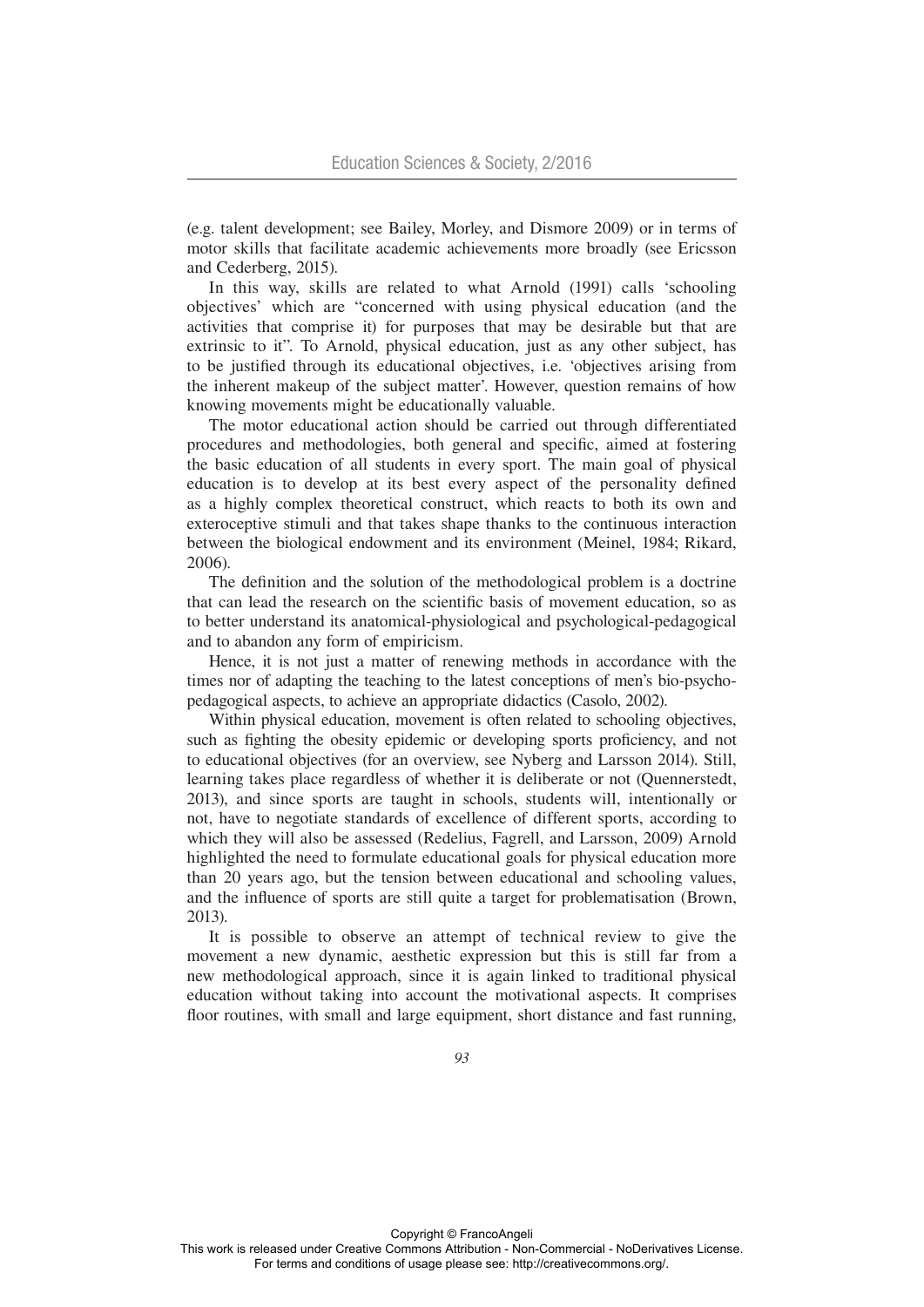(e.g. talent development; see Bailey, Morley, and Dismore 2009) or in terms of motor skills that facilitate academic achievements more broadly (see Ericsson and Cederberg, 2015).

In this way, skills are related to what Arnold (1991) calls 'schooling objectives' which are "concerned with using physical education (and the activities that comprise it) for purposes that may be desirable but that are extrinsic to it". To Arnold, physical education, just as any other subject, has to be justified through its educational objectives, i.e. 'objectives arising from the inherent makeup of the subject matter'. However, question remains of how knowing movements might be educationally valuable.

The motor educational action should be carried out through differentiated procedures and methodologies, both general and specific, aimed at fostering the basic education of all students in every sport. The main goal of physical education is to develop at its best every aspect of the personality defined as a highly complex theoretical construct, which reacts to both its own and exteroceptive stimuli and that takes shape thanks to the continuous interaction between the biological endowment and its environment (Meinel, 1984; Rikard, 2006).

The definition and the solution of the methodological problem is a doctrine that can lead the research on the scientific basis of movement education, so as to better understand its anatomical-physiological and psychological-pedagogical and to abandon any form of empiricism.

Hence, it is not just a matter of renewing methods in accordance with the times nor of adapting the teaching to the latest conceptions of men's bio-psychopedagogical aspects, to achieve an appropriate didactics (Casolo, 2002).

Within physical education, movement is often related to schooling objectives, such as fighting the obesity epidemic or developing sports proficiency, and not to educational objectives (for an overview, see Nyberg and Larsson 2014). Still, learning takes place regardless of whether it is deliberate or not (Quennerstedt, 2013), and since sports are taught in schools, students will, intentionally or not, have to negotiate standards of excellence of different sports, according to which they will also be assessed (Redelius, Fagrell, and Larsson, 2009) Arnold highlighted the need to formulate educational goals for physical education more than 20 years ago, but the tension between educational and schooling values, and the influence of sports are still quite a target for problematisation (Brown, 2013).

It is possible to observe an attempt of technical review to give the movement a new dynamic, aesthetic expression but this is still far from a new methodological approach, since it is again linked to traditional physical education without taking into account the motivational aspects. It comprises floor routines, with small and large equipment, short distance and fast running,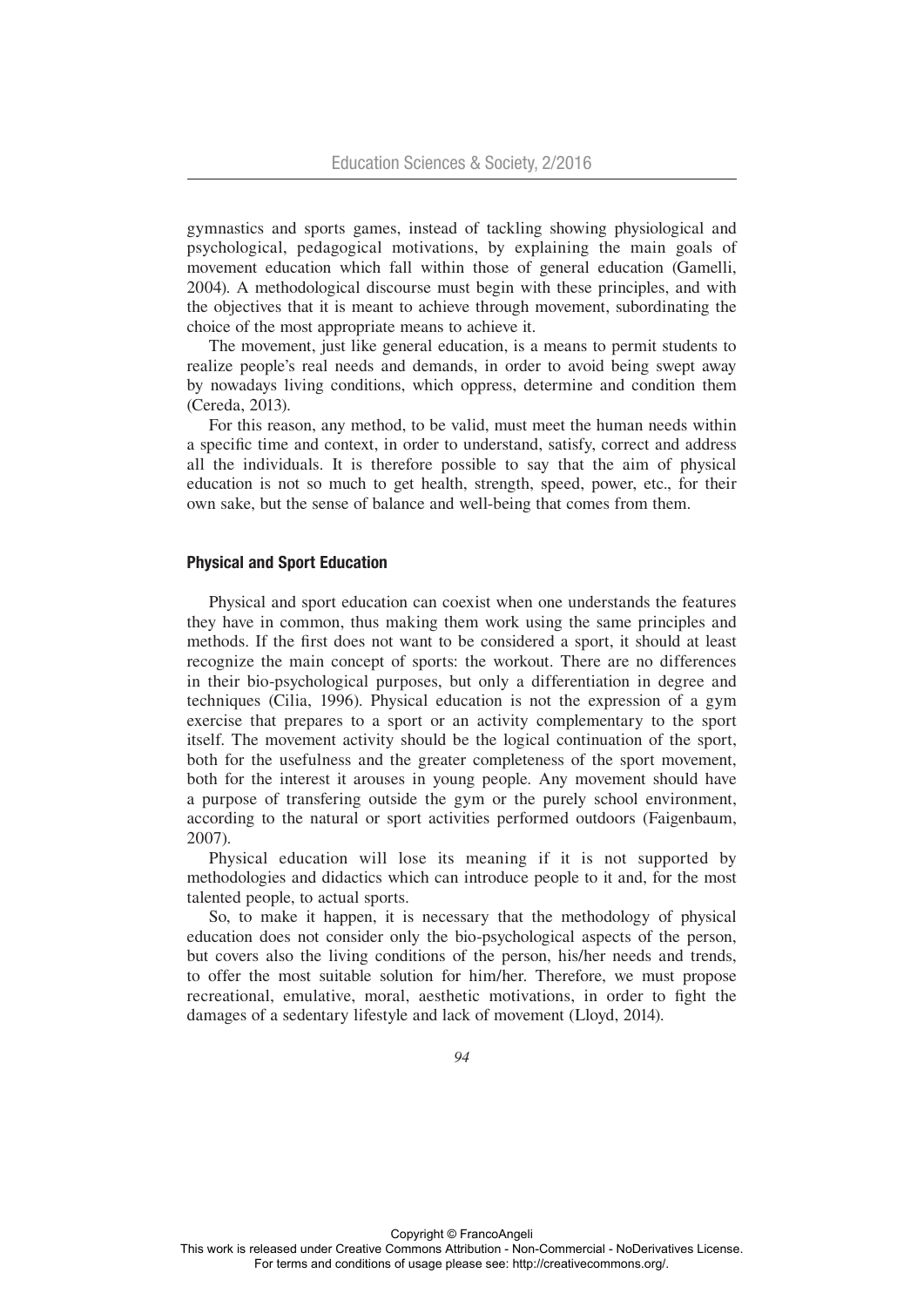gymnastics and sports games, instead of tackling showing physiological and psychological, pedagogical motivations, by explaining the main goals of movement education which fall within those of general education (Gamelli, 2004). A methodological discourse must begin with these principles, and with the objectives that it is meant to achieve through movement, subordinating the choice of the most appropriate means to achieve it.

The movement, just like general education, is a means to permit students to realize people's real needs and demands, in order to avoid being swept away by nowadays living conditions, which oppress, determine and condition them (Cereda, 2013).

For this reason, any method, to be valid, must meet the human needs within a specific time and context, in order to understand, satisfy, correct and address all the individuals. It is therefore possible to say that the aim of physical education is not so much to get health, strength, speed, power, etc., for their own sake, but the sense of balance and well-being that comes from them.

#### Physical and Sport Education

Physical and sport education can coexist when one understands the features they have in common, thus making them work using the same principles and methods. If the first does not want to be considered a sport, it should at least recognize the main concept of sports: the workout. There are no differences in their bio-psychological purposes, but only a differentiation in degree and techniques (Cilia, 1996). Physical education is not the expression of a gym exercise that prepares to a sport or an activity complementary to the sport itself. The movement activity should be the logical continuation of the sport, both for the usefulness and the greater completeness of the sport movement, both for the interest it arouses in young people. Any movement should have a purpose of transfering outside the gym or the purely school environment, according to the natural or sport activities performed outdoors (Faigenbaum, 2007).

Physical education will lose its meaning if it is not supported by methodologies and didactics which can introduce people to it and, for the most talented people, to actual sports.

So, to make it happen, it is necessary that the methodology of physical education does not consider only the bio-psychological aspects of the person, but covers also the living conditions of the person, his/her needs and trends, to offer the most suitable solution for him/her. Therefore, we must propose recreational, emulative, moral, aesthetic motivations, in order to fight the damages of a sedentary lifestyle and lack of movement (Lloyd, 2014).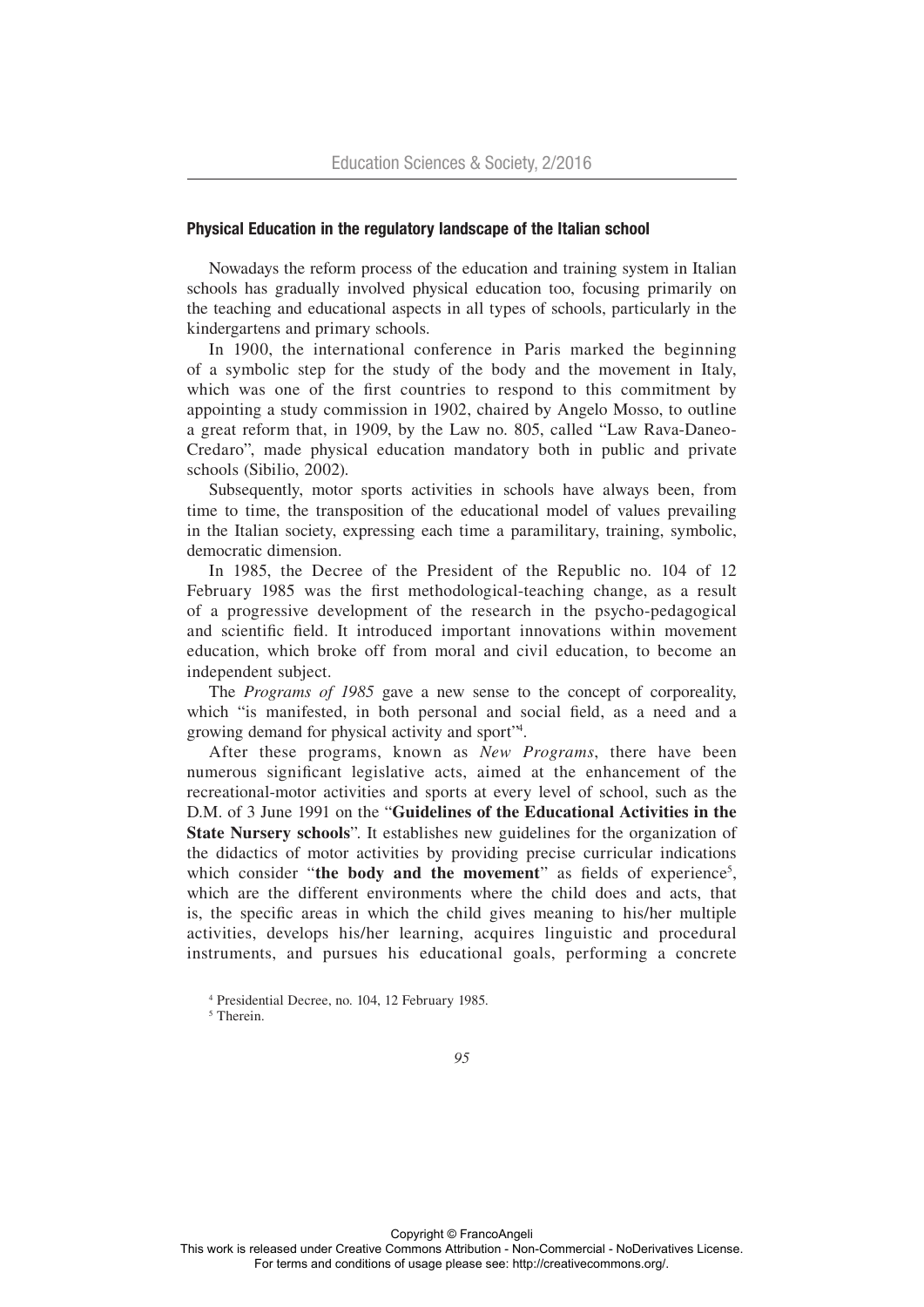# Physical Education in the regulatory landscape of the Italian school

Nowadays the reform process of the education and training system in Italian schools has gradually involved physical education too, focusing primarily on the teaching and educational aspects in all types of schools, particularly in the kindergartens and primary schools.

In 1900, the international conference in Paris marked the beginning of a symbolic step for the study of the body and the movement in Italy, which was one of the first countries to respond to this commitment by appointing a study commission in 1902, chaired by Angelo Mosso, to outline a great reform that, in 1909, by the Law no. 805, called "Law Rava-Daneo-Credaro", made physical education mandatory both in public and private schools (Sibilio, 2002).

Subsequently, motor sports activities in schools have always been, from time to time, the transposition of the educational model of values prevailing in the Italian society, expressing each time a paramilitary, training, symbolic, democratic dimension.

In 1985, the Decree of the President of the Republic no. 104 of 12 February 1985 was the first methodological-teaching change, as a result of a progressive development of the research in the psycho-pedagogical and scientific field. It introduced important innovations within movement education, which broke off from moral and civil education, to become an independent subject.

The *Programs of 1985* gave a new sense to the concept of corporeality, which "is manifested, in both personal and social field, as a need and a growing demand for physical activity and sport"4 .

After these programs, known as *New Programs*, there have been numerous significant legislative acts, aimed at the enhancement of the recreational-motor activities and sports at every level of school, such as the D.M. of 3 June 1991 on the "**Guidelines of the Educational Activities in the State Nursery schools**". It establishes new guidelines for the organization of the didactics of motor activities by providing precise curricular indications which consider "the body and the movement" as fields of experience<sup>5</sup>, which are the different environments where the child does and acts, that is, the specific areas in which the child gives meaning to his/her multiple activities, develops his/her learning, acquires linguistic and procedural instruments, and pursues his educational goals, performing a concrete

<sup>4</sup> Presidential Decree, no. 104, 12 February 1985.

<sup>5</sup> Therein.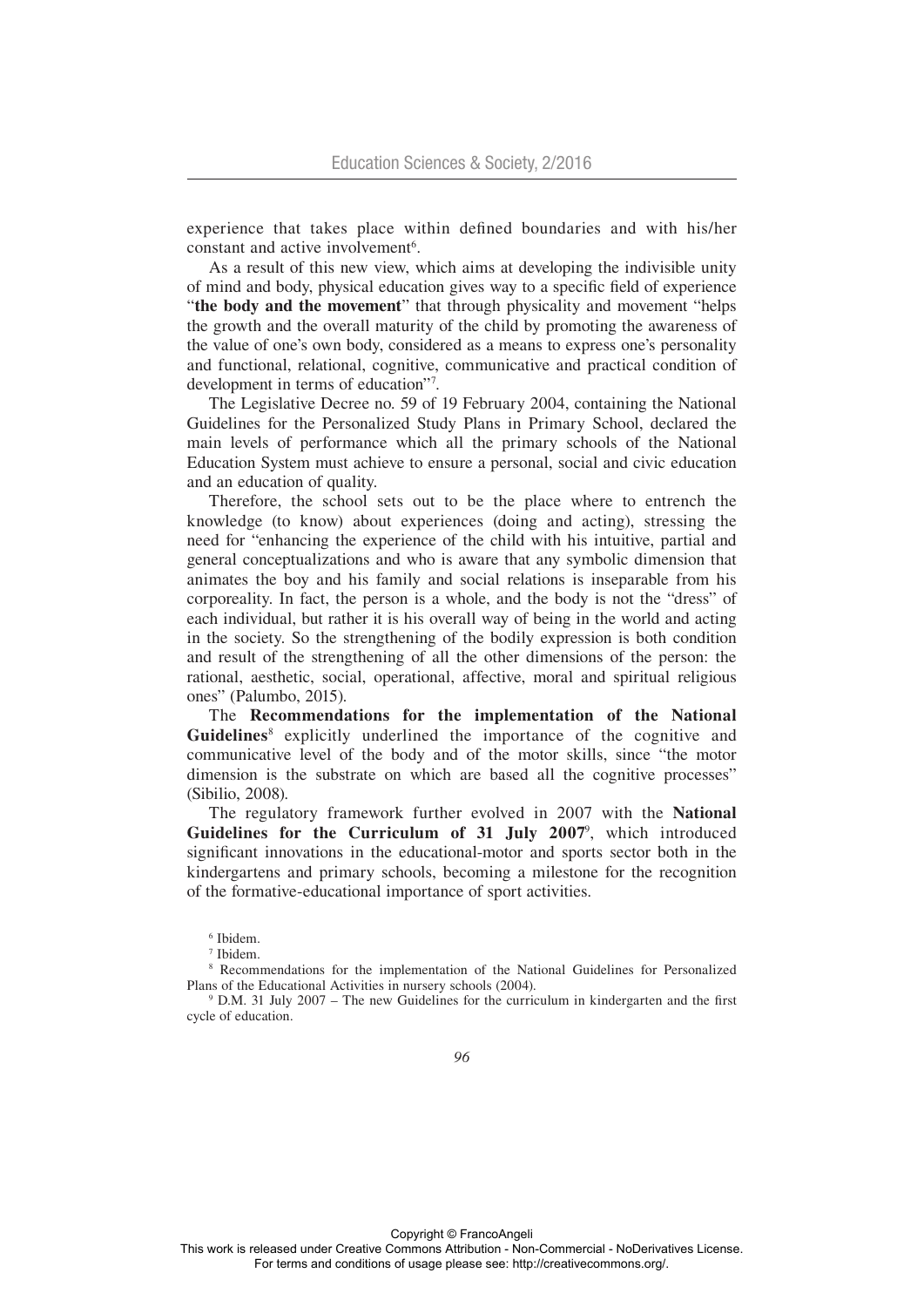experience that takes place within defined boundaries and with his/her constant and active involvement<sup>6</sup>.

As a result of this new view, which aims at developing the indivisible unity of mind and body, physical education gives way to a specific field of experience "**the body and the movement**" that through physicality and movement "helps the growth and the overall maturity of the child by promoting the awareness of the value of one's own body, considered as a means to express one's personality and functional, relational, cognitive, communicative and practical condition of development in terms of education"7 .

The Legislative Decree no. 59 of 19 February 2004, containing the National Guidelines for the Personalized Study Plans in Primary School, declared the main levels of performance which all the primary schools of the National Education System must achieve to ensure a personal, social and civic education and an education of quality.

Therefore, the school sets out to be the place where to entrench the knowledge (to know) about experiences (doing and acting), stressing the need for "enhancing the experience of the child with his intuitive, partial and general conceptualizations and who is aware that any symbolic dimension that animates the boy and his family and social relations is inseparable from his corporeality. In fact, the person is a whole, and the body is not the "dress" of each individual, but rather it is his overall way of being in the world and acting in the society. So the strengthening of the bodily expression is both condition and result of the strengthening of all the other dimensions of the person: the rational, aesthetic, social, operational, affective, moral and spiritual religious ones" (Palumbo, 2015).

The **Recommendations for the implementation of the National**  Guidelines<sup>8</sup> explicitly underlined the importance of the cognitive and communicative level of the body and of the motor skills, since "the motor dimension is the substrate on which are based all the cognitive processes" (Sibilio, 2008).

The regulatory framework further evolved in 2007 with the **National**  Guidelines for the Curriculum of 31 July 2007<sup>9</sup>, which introduced significant innovations in the educational-motor and sports sector both in the kindergartens and primary schools, becoming a milestone for the recognition of the formative-educational importance of sport activities.

6 Ibidem.

7 Ibidem.

8 Recommendations for the implementation of the National Guidelines for Personalized Plans of the Educational Activities in nursery schools (2004).

9 D.M. 31 July 2007 – The new Guidelines for the curriculum in kindergarten and the first cycle of education.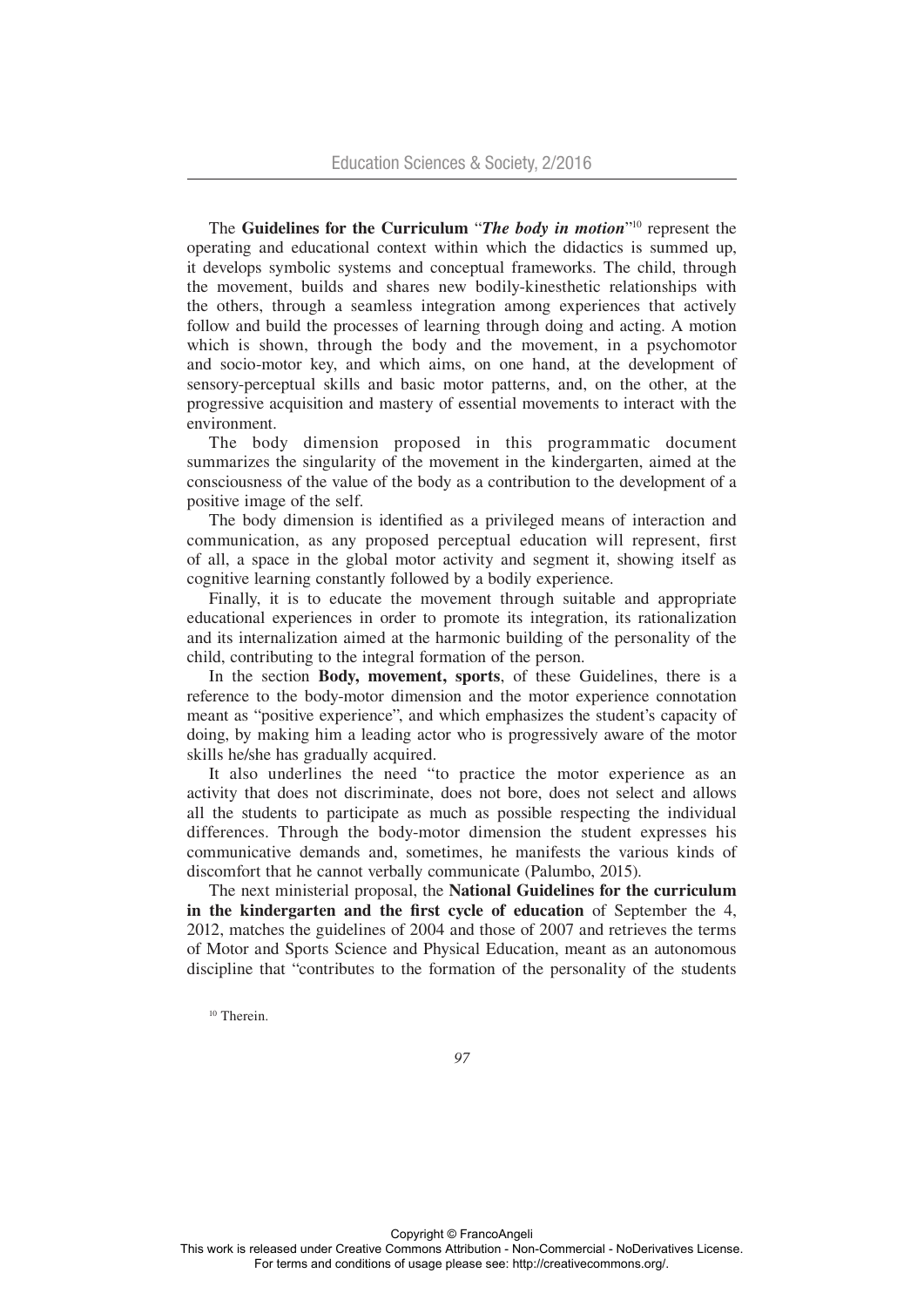The **Guidelines for the Curriculum** "*The body in motion*"10 represent the operating and educational context within which the didactics is summed up, it develops symbolic systems and conceptual frameworks. The child, through the movement, builds and shares new bodily-kinesthetic relationships with the others, through a seamless integration among experiences that actively follow and build the processes of learning through doing and acting. A motion which is shown, through the body and the movement, in a psychomotor and socio-motor key, and which aims, on one hand, at the development of sensory-perceptual skills and basic motor patterns, and, on the other, at the progressive acquisition and mastery of essential movements to interact with the environment.

The body dimension proposed in this programmatic document summarizes the singularity of the movement in the kindergarten, aimed at the consciousness of the value of the body as a contribution to the development of a positive image of the self.

The body dimension is identified as a privileged means of interaction and communication, as any proposed perceptual education will represent, first of all, a space in the global motor activity and segment it, showing itself as cognitive learning constantly followed by a bodily experience.

Finally, it is to educate the movement through suitable and appropriate educational experiences in order to promote its integration, its rationalization and its internalization aimed at the harmonic building of the personality of the child, contributing to the integral formation of the person.

In the section **Body, movement, sports**, of these Guidelines, there is a reference to the body-motor dimension and the motor experience connotation meant as "positive experience", and which emphasizes the student's capacity of doing, by making him a leading actor who is progressively aware of the motor skills he/she has gradually acquired.

It also underlines the need "to practice the motor experience as an activity that does not discriminate, does not bore, does not select and allows all the students to participate as much as possible respecting the individual differences. Through the body-motor dimension the student expresses his communicative demands and, sometimes, he manifests the various kinds of discomfort that he cannot verbally communicate (Palumbo, 2015).

The next ministerial proposal, the **National Guidelines for the curriculum in the kindergarten and the first cycle of education** of September the 4, 2012, matches the guidelines of 2004 and those of 2007 and retrieves the terms of Motor and Sports Science and Physical Education, meant as an autonomous discipline that "contributes to the formation of the personality of the students

<sup>10</sup> Therein.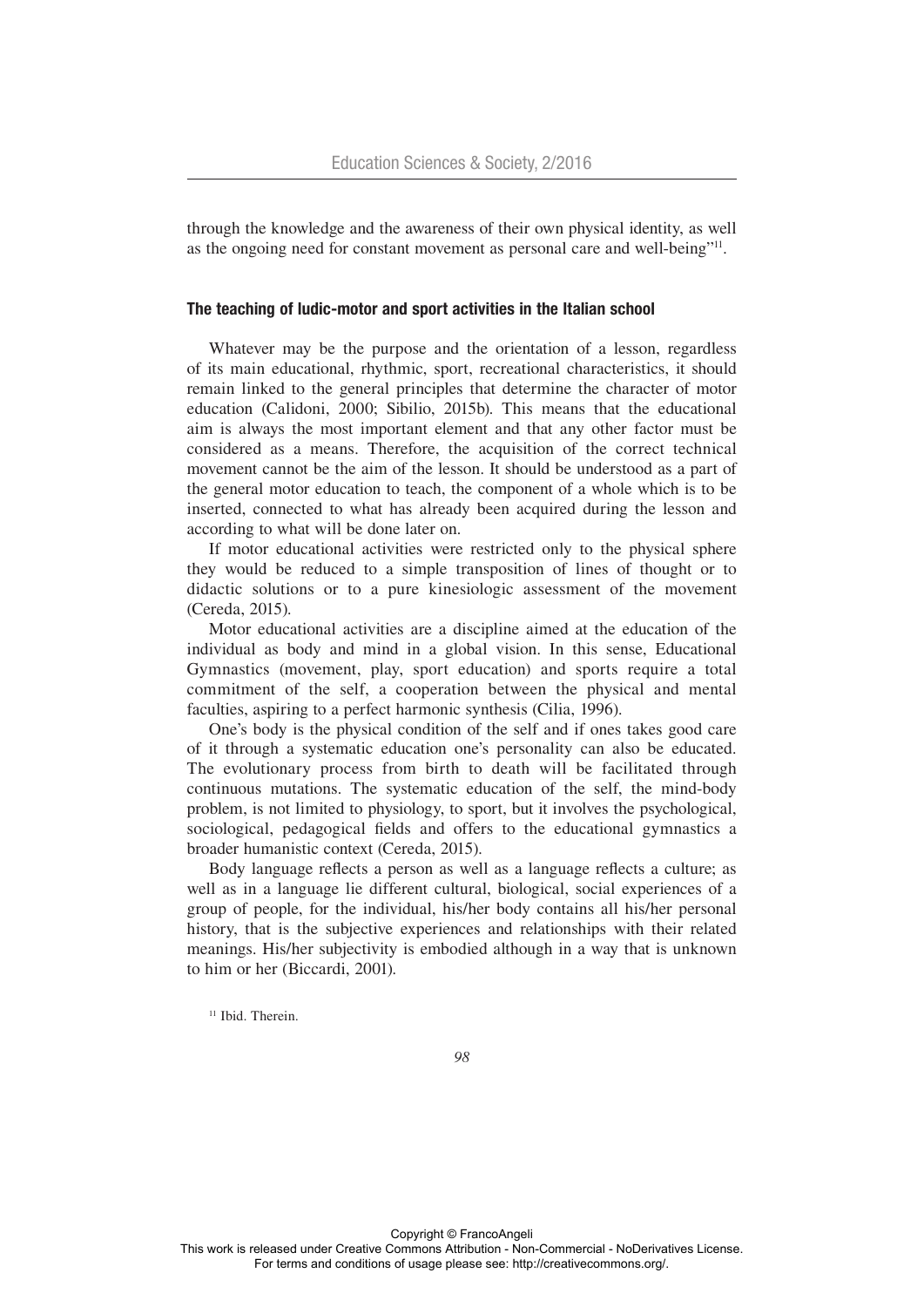through the knowledge and the awareness of their own physical identity, as well as the ongoing need for constant movement as personal care and well-being"11.

### The teaching of ludic-motor and sport activities in the Italian school

Whatever may be the purpose and the orientation of a lesson, regardless of its main educational, rhythmic, sport, recreational characteristics, it should remain linked to the general principles that determine the character of motor education (Calidoni, 2000; Sibilio, 2015b). This means that the educational aim is always the most important element and that any other factor must be considered as a means. Therefore, the acquisition of the correct technical movement cannot be the aim of the lesson. It should be understood as a part of the general motor education to teach, the component of a whole which is to be inserted, connected to what has already been acquired during the lesson and according to what will be done later on.

If motor educational activities were restricted only to the physical sphere they would be reduced to a simple transposition of lines of thought or to didactic solutions or to a pure kinesiologic assessment of the movement (Cereda, 2015).

Motor educational activities are a discipline aimed at the education of the individual as body and mind in a global vision. In this sense, Educational Gymnastics (movement, play, sport education) and sports require a total commitment of the self, a cooperation between the physical and mental faculties, aspiring to a perfect harmonic synthesis (Cilia, 1996).

One's body is the physical condition of the self and if ones takes good care of it through a systematic education one's personality can also be educated. The evolutionary process from birth to death will be facilitated through continuous mutations. The systematic education of the self, the mind-body problem, is not limited to physiology, to sport, but it involves the psychological, sociological, pedagogical fields and offers to the educational gymnastics a broader humanistic context (Cereda, 2015).

Body language reflects a person as well as a language reflects a culture; as well as in a language lie different cultural, biological, social experiences of a group of people, for the individual, his/her body contains all his/her personal history, that is the subjective experiences and relationships with their related meanings. His/her subjectivity is embodied although in a way that is unknown to him or her (Biccardi, 2001).

<sup>11</sup> Ibid. Therein.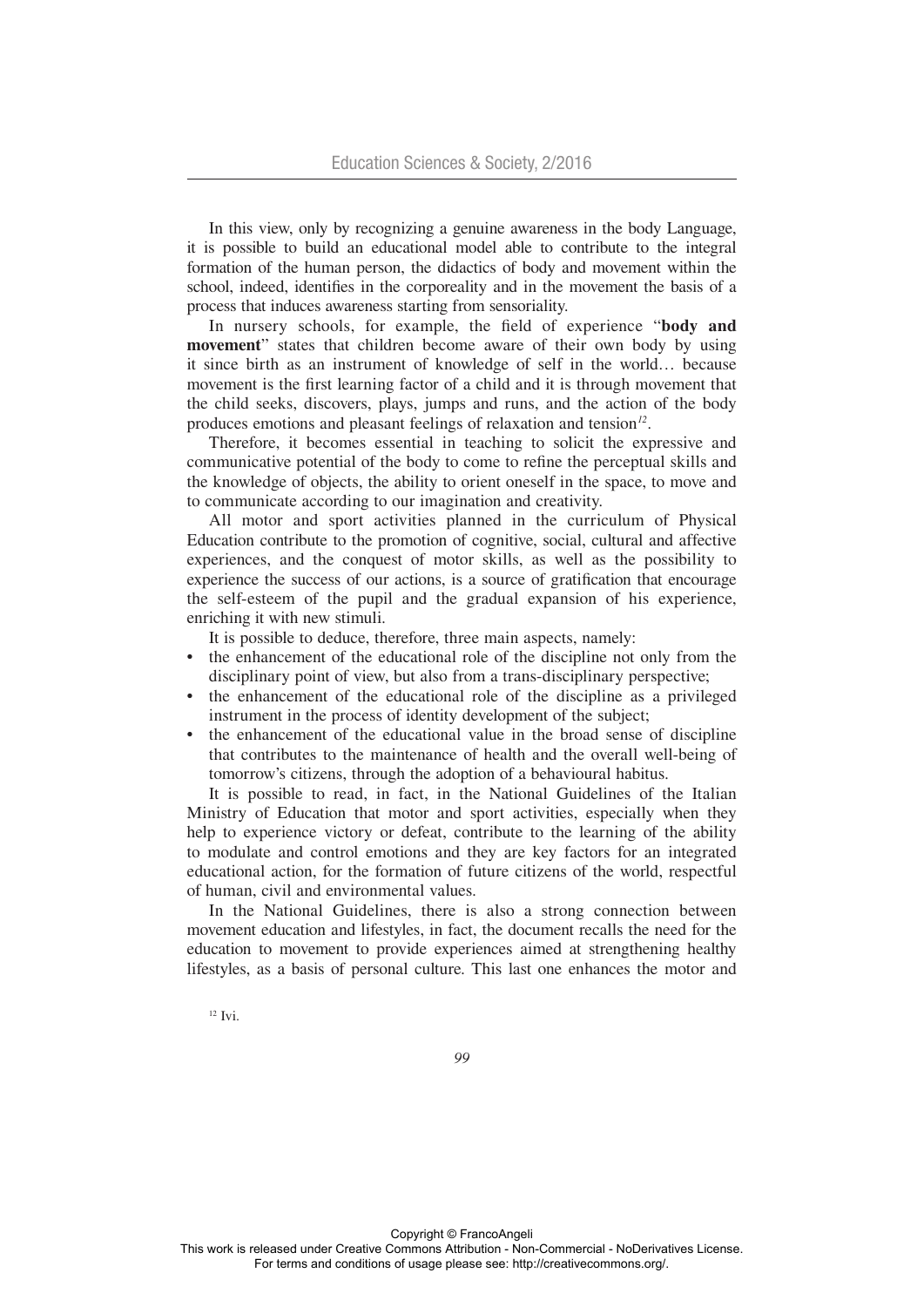In this view, only by recognizing a genuine awareness in the body Language, it is possible to build an educational model able to contribute to the integral formation of the human person, the didactics of body and movement within the school, indeed, identifies in the corporeality and in the movement the basis of a process that induces awareness starting from sensoriality.

In nursery schools, for example, the field of experience "**body and movement**" states that children become aware of their own body by using it since birth as an instrument of knowledge of self in the world… because movement is the first learning factor of a child and it is through movement that the child seeks, discovers, plays, jumps and runs, and the action of the body produces emotions and pleasant feelings of relaxation and tension*12*.

Therefore, it becomes essential in teaching to solicit the expressive and communicative potential of the body to come to refine the perceptual skills and the knowledge of objects, the ability to orient oneself in the space, to move and to communicate according to our imagination and creativity.

All motor and sport activities planned in the curriculum of Physical Education contribute to the promotion of cognitive, social, cultural and affective experiences, and the conquest of motor skills, as well as the possibility to experience the success of our actions, is a source of gratification that encourage the self-esteem of the pupil and the gradual expansion of his experience, enriching it with new stimuli.

It is possible to deduce, therefore, three main aspects, namely:

- the enhancement of the educational role of the discipline not only from the disciplinary point of view, but also from a trans-disciplinary perspective;
- the enhancement of the educational role of the discipline as a privileged instrument in the process of identity development of the subject;
- the enhancement of the educational value in the broad sense of discipline that contributes to the maintenance of health and the overall well-being of tomorrow's citizens, through the adoption of a behavioural habitus.

It is possible to read, in fact, in the National Guidelines of the Italian Ministry of Education that motor and sport activities, especially when they help to experience victory or defeat, contribute to the learning of the ability to modulate and control emotions and they are key factors for an integrated educational action, for the formation of future citizens of the world, respectful of human, civil and environmental values.

In the National Guidelines, there is also a strong connection between movement education and lifestyles, in fact, the document recalls the need for the education to movement to provide experiences aimed at strengthening healthy lifestyles, as a basis of personal culture. This last one enhances the motor and

 $12$  Ivi.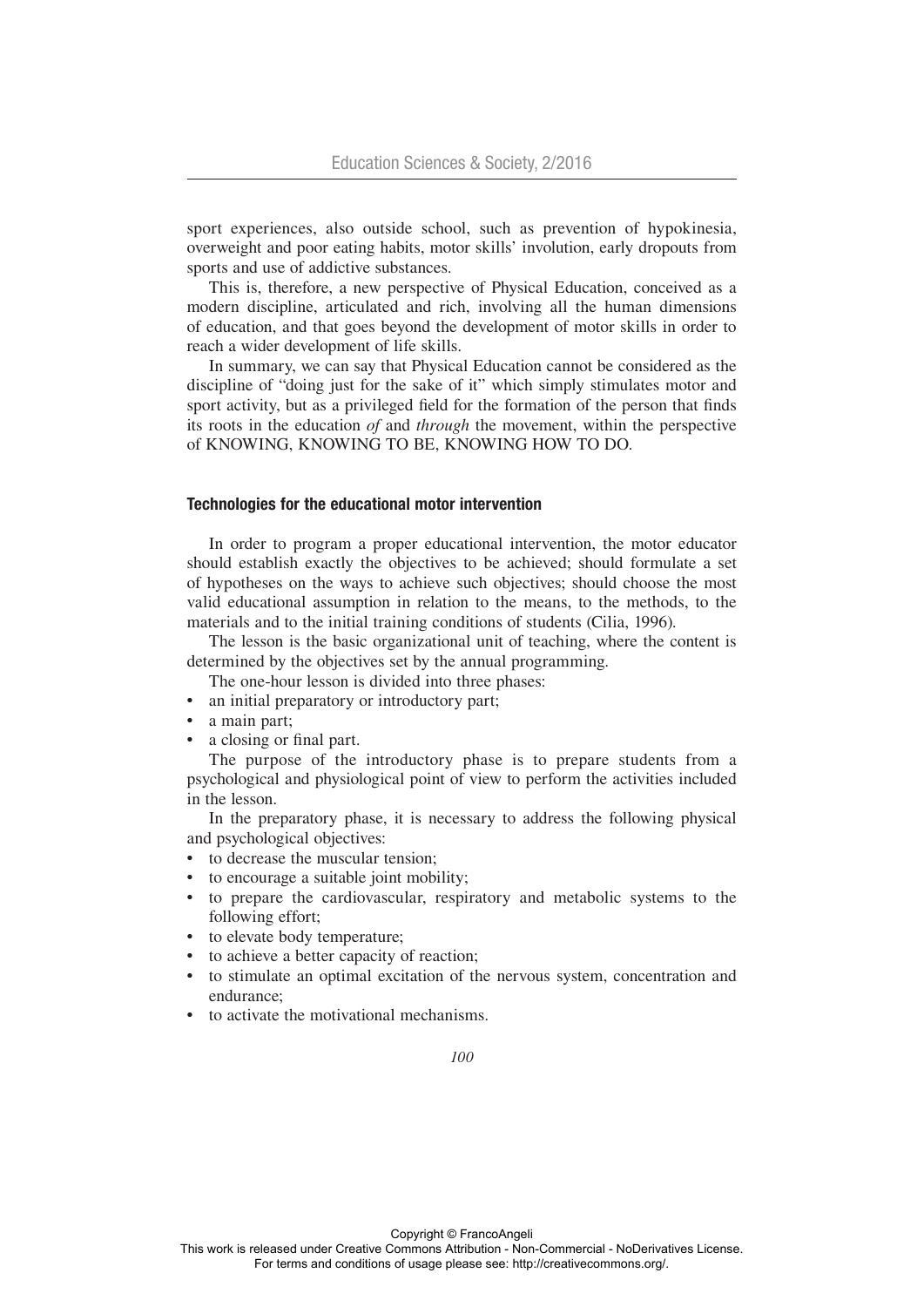sport experiences, also outside school, such as prevention of hypokinesia, overweight and poor eating habits, motor skills' involution, early dropouts from sports and use of addictive substances.

This is, therefore, a new perspective of Physical Education, conceived as a modern discipline, articulated and rich, involving all the human dimensions of education, and that goes beyond the development of motor skills in order to reach a wider development of life skills.

In summary, we can say that Physical Education cannot be considered as the discipline of "doing just for the sake of it" which simply stimulates motor and sport activity, but as a privileged field for the formation of the person that finds its roots in the education *of* and *through* the movement, within the perspective of KNOWING, KNOWING TO BE, KNOWING HOW TO DO.

### Technologies for the educational motor intervention

In order to program a proper educational intervention, the motor educator should establish exactly the objectives to be achieved; should formulate a set of hypotheses on the ways to achieve such objectives; should choose the most valid educational assumption in relation to the means, to the methods, to the materials and to the initial training conditions of students (Cilia, 1996).

The lesson is the basic organizational unit of teaching, where the content is determined by the objectives set by the annual programming.

- The one-hour lesson is divided into three phases:
- an initial preparatory or introductory part;
- a main part;
- a closing or final part.

The purpose of the introductory phase is to prepare students from a psychological and physiological point of view to perform the activities included in the lesson.

In the preparatory phase, it is necessary to address the following physical and psychological objectives:

- to decrease the muscular tension;
- to encourage a suitable joint mobility;
- to prepare the cardiovascular, respiratory and metabolic systems to the following effort;
- to elevate body temperature;
- to achieve a better capacity of reaction;
- to stimulate an optimal excitation of the nervous system, concentration and endurance;
- to activate the motivational mechanisms.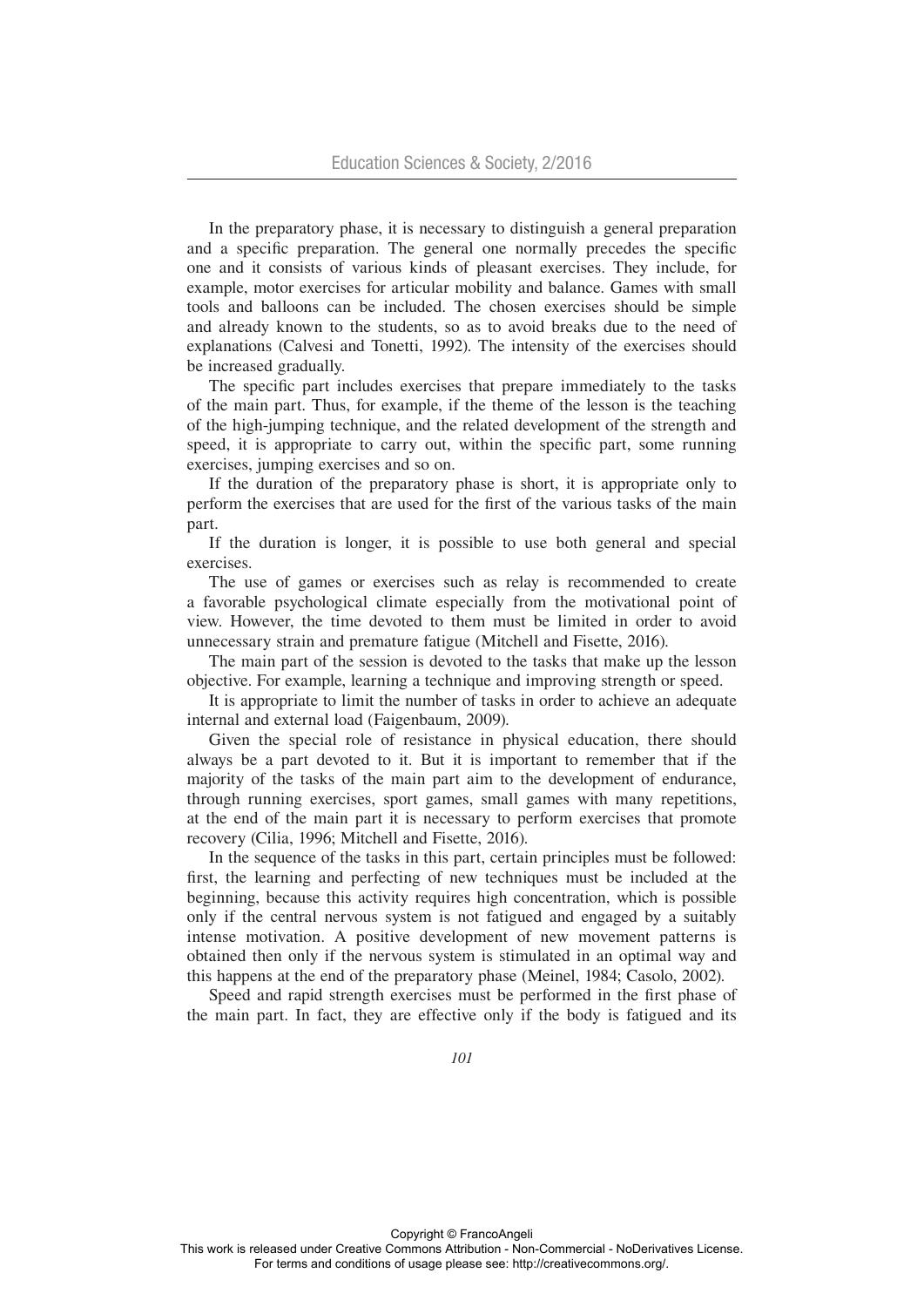In the preparatory phase, it is necessary to distinguish a general preparation and a specific preparation. The general one normally precedes the specific one and it consists of various kinds of pleasant exercises. They include, for example, motor exercises for articular mobility and balance. Games with small tools and balloons can be included. The chosen exercises should be simple and already known to the students, so as to avoid breaks due to the need of explanations (Calvesi and Tonetti, 1992). The intensity of the exercises should be increased gradually.

The specific part includes exercises that prepare immediately to the tasks of the main part. Thus, for example, if the theme of the lesson is the teaching of the high-jumping technique, and the related development of the strength and speed, it is appropriate to carry out, within the specific part, some running exercises, jumping exercises and so on.

If the duration of the preparatory phase is short, it is appropriate only to perform the exercises that are used for the first of the various tasks of the main part.

If the duration is longer, it is possible to use both general and special exercises.

The use of games or exercises such as relay is recommended to create a favorable psychological climate especially from the motivational point of view. However, the time devoted to them must be limited in order to avoid unnecessary strain and premature fatigue (Mitchell and Fisette, 2016).

The main part of the session is devoted to the tasks that make up the lesson objective. For example, learning a technique and improving strength or speed.

It is appropriate to limit the number of tasks in order to achieve an adequate internal and external load (Faigenbaum, 2009).

Given the special role of resistance in physical education, there should always be a part devoted to it. But it is important to remember that if the majority of the tasks of the main part aim to the development of endurance, through running exercises, sport games, small games with many repetitions, at the end of the main part it is necessary to perform exercises that promote recovery (Cilia, 1996; Mitchell and Fisette, 2016).

In the sequence of the tasks in this part, certain principles must be followed: first, the learning and perfecting of new techniques must be included at the beginning, because this activity requires high concentration, which is possible only if the central nervous system is not fatigued and engaged by a suitably intense motivation. A positive development of new movement patterns is obtained then only if the nervous system is stimulated in an optimal way and this happens at the end of the preparatory phase (Meinel, 1984; Casolo, 2002).

Speed and rapid strength exercises must be performed in the first phase of the main part. In fact, they are effective only if the body is fatigued and its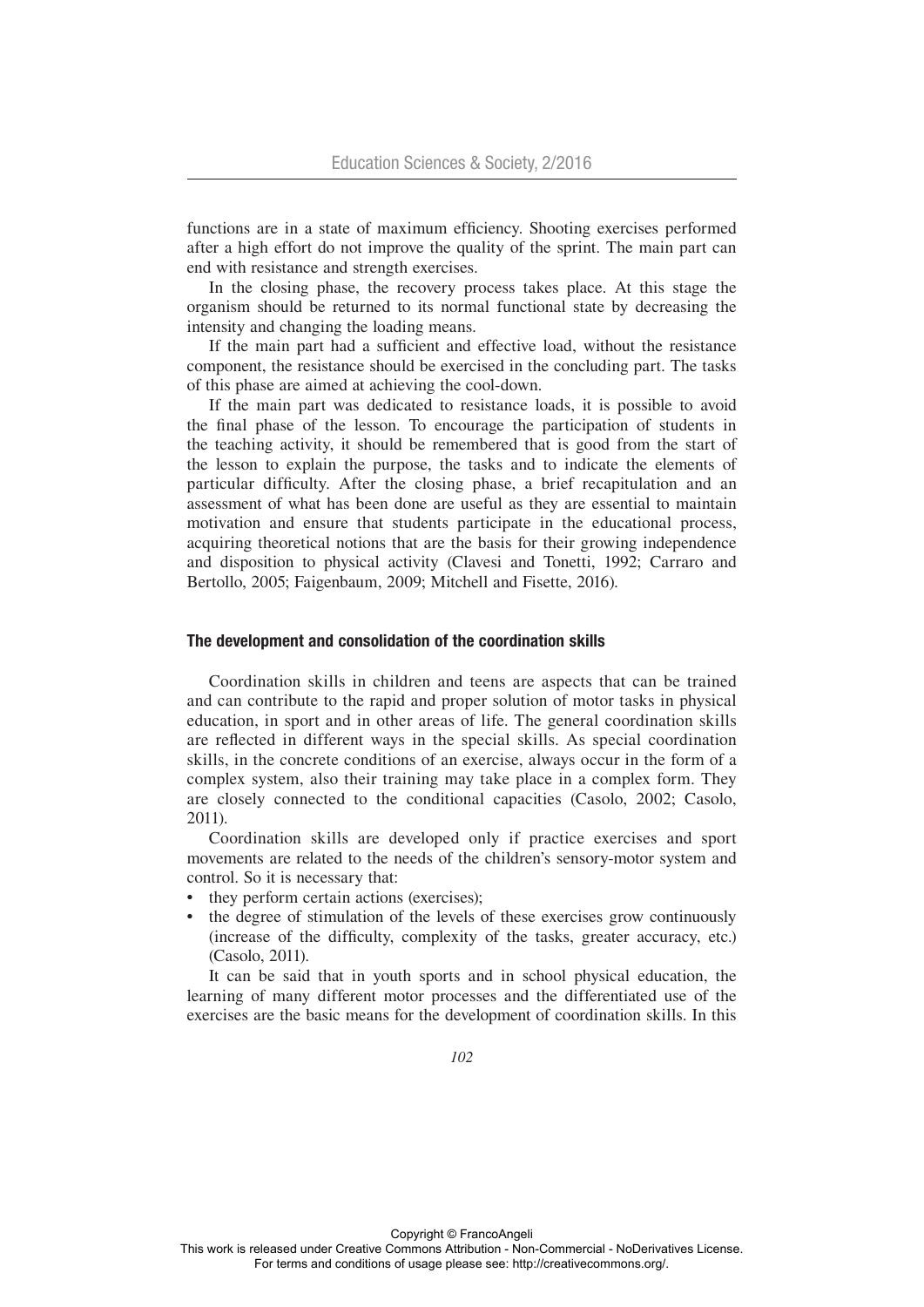functions are in a state of maximum efficiency. Shooting exercises performed after a high effort do not improve the quality of the sprint. The main part can end with resistance and strength exercises.

In the closing phase, the recovery process takes place. At this stage the organism should be returned to its normal functional state by decreasing the intensity and changing the loading means.

If the main part had a sufficient and effective load, without the resistance component, the resistance should be exercised in the concluding part. The tasks of this phase are aimed at achieving the cool-down.

If the main part was dedicated to resistance loads, it is possible to avoid the final phase of the lesson. To encourage the participation of students in the teaching activity, it should be remembered that is good from the start of the lesson to explain the purpose, the tasks and to indicate the elements of particular difficulty. After the closing phase, a brief recapitulation and an assessment of what has been done are useful as they are essential to maintain motivation and ensure that students participate in the educational process, acquiring theoretical notions that are the basis for their growing independence and disposition to physical activity (Clavesi and Tonetti, 1992; Carraro and Bertollo, 2005; Faigenbaum, 2009; Mitchell and Fisette, 2016).

## The development and consolidation of the coordination skills

Coordination skills in children and teens are aspects that can be trained and can contribute to the rapid and proper solution of motor tasks in physical education, in sport and in other areas of life. The general coordination skills are reflected in different ways in the special skills. As special coordination skills, in the concrete conditions of an exercise, always occur in the form of a complex system, also their training may take place in a complex form. They are closely connected to the conditional capacities (Casolo, 2002; Casolo, 2011).

Coordination skills are developed only if practice exercises and sport movements are related to the needs of the children's sensory-motor system and control. So it is necessary that:

- they perform certain actions (exercises);
- the degree of stimulation of the levels of these exercises grow continuously (increase of the difficulty, complexity of the tasks, greater accuracy, etc.) (Casolo, 2011).

It can be said that in youth sports and in school physical education, the learning of many different motor processes and the differentiated use of the exercises are the basic means for the development of coordination skills. In this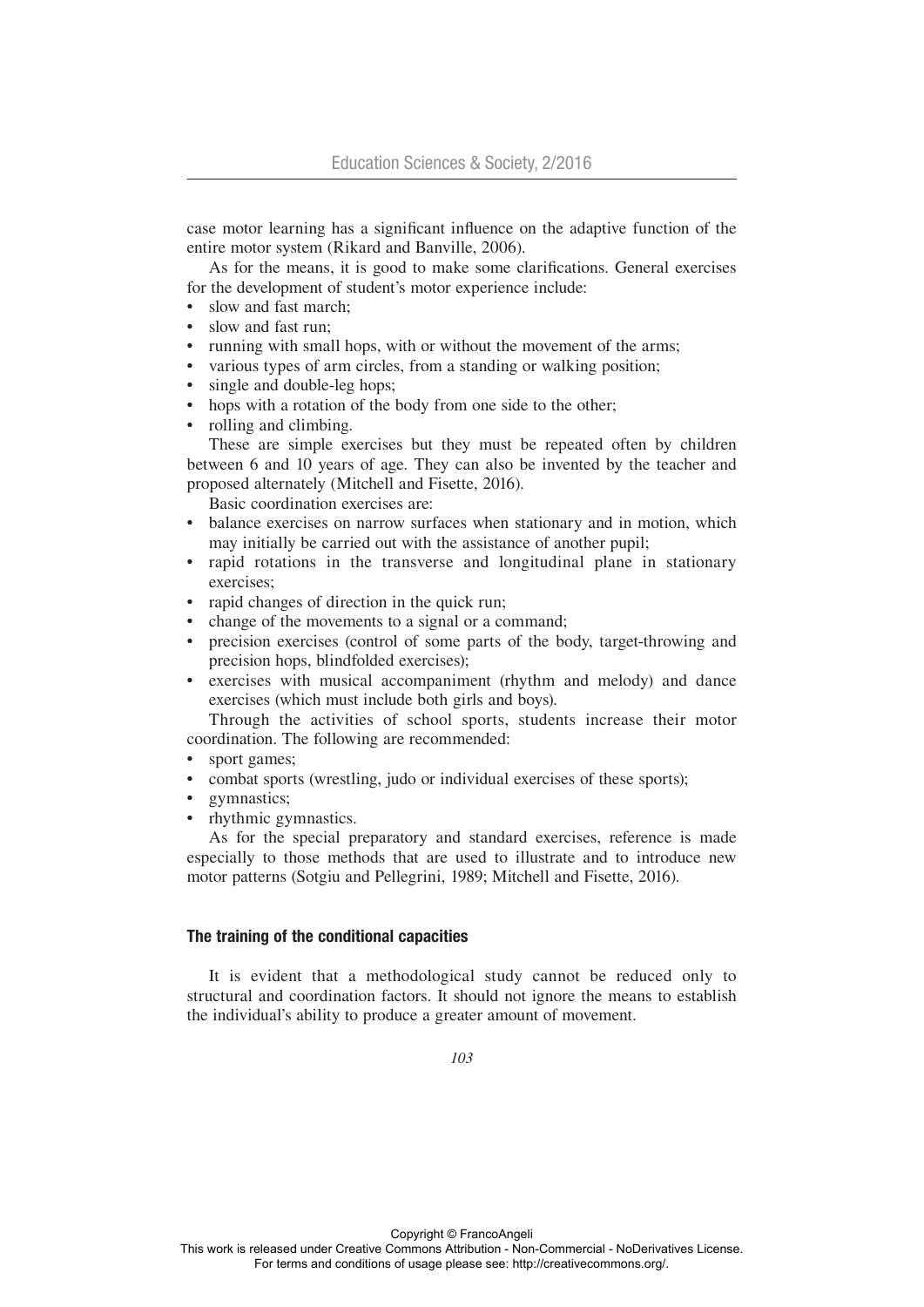case motor learning has a significant influence on the adaptive function of the entire motor system (Rikard and Banville, 2006).

As for the means, it is good to make some clarifications. General exercises for the development of student's motor experience include:

- slow and fast march:
- slow and fast run:
- running with small hops, with or without the movement of the arms;
- various types of arm circles, from a standing or walking position;
- single and double-leg hops;
- hops with a rotation of the body from one side to the other;
- rolling and climbing.

These are simple exercises but they must be repeated often by children between 6 and 10 years of age. They can also be invented by the teacher and proposed alternately (Mitchell and Fisette, 2016).

Basic coordination exercises are:

- balance exercises on narrow surfaces when stationary and in motion, which may initially be carried out with the assistance of another pupil;
- rapid rotations in the transverse and longitudinal plane in stationary exercises;
- rapid changes of direction in the quick run;
- change of the movements to a signal or a command;
- precision exercises (control of some parts of the body, target-throwing and precision hops, blindfolded exercises);
- exercises with musical accompaniment (rhythm and melody) and dance exercises (which must include both girls and boys).

Through the activities of school sports, students increase their motor coordination. The following are recommended:

- sport games:
- combat sports (wrestling, judo or individual exercises of these sports);
- gymnastics;
- rhythmic gymnastics.

As for the special preparatory and standard exercises, reference is made especially to those methods that are used to illustrate and to introduce new motor patterns (Sotgiu and Pellegrini, 1989; Mitchell and Fisette, 2016).

## The training of the conditional capacities

It is evident that a methodological study cannot be reduced only to structural and coordination factors. It should not ignore the means to establish the individual's ability to produce a greater amount of movement.

*103*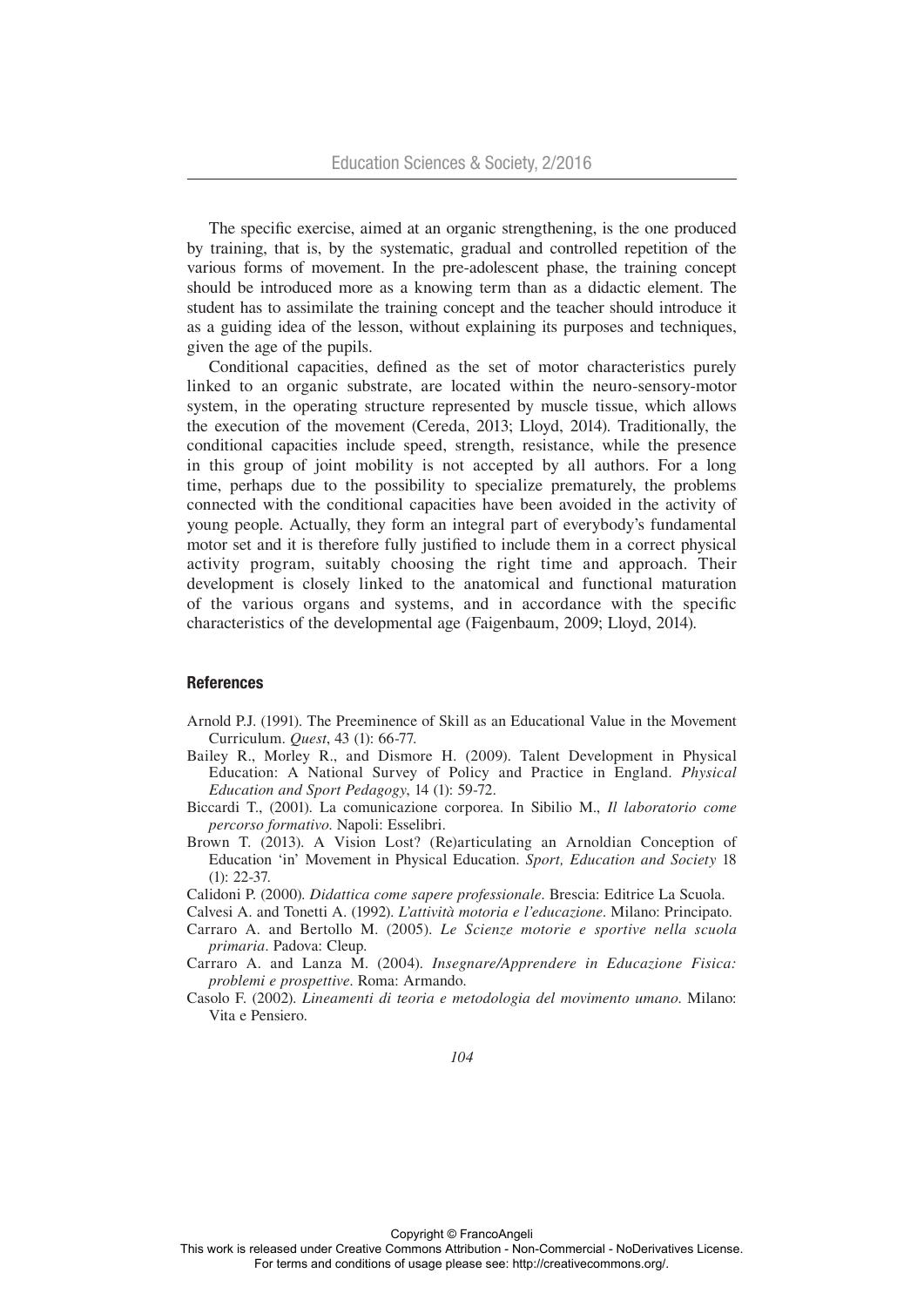The specific exercise, aimed at an organic strengthening, is the one produced by training, that is, by the systematic, gradual and controlled repetition of the various forms of movement. In the pre-adolescent phase, the training concept should be introduced more as a knowing term than as a didactic element. The student has to assimilate the training concept and the teacher should introduce it as a guiding idea of the lesson, without explaining its purposes and techniques, given the age of the pupils.

Conditional capacities, defined as the set of motor characteristics purely linked to an organic substrate, are located within the neuro-sensory-motor system, in the operating structure represented by muscle tissue, which allows the execution of the movement (Cereda, 2013; Lloyd, 2014). Traditionally, the conditional capacities include speed, strength, resistance, while the presence in this group of joint mobility is not accepted by all authors. For a long time, perhaps due to the possibility to specialize prematurely, the problems connected with the conditional capacities have been avoided in the activity of young people. Actually, they form an integral part of everybody's fundamental motor set and it is therefore fully justified to include them in a correct physical activity program, suitably choosing the right time and approach. Their development is closely linked to the anatomical and functional maturation of the various organs and systems, and in accordance with the specific characteristics of the developmental age (Faigenbaum, 2009; Lloyd, 2014).

#### **References**

- Arnold P.J. (1991). The Preeminence of Skill as an Educational Value in the Movement Curriculum. *Quest*, 43 (1): 66-77.
- Bailey R., Morley R., and Dismore H. (2009). Talent Development in Physical Education: A National Survey of Policy and Practice in England. *Physical Education and Sport Pedagogy*, 14 (1): 59-72.
- Biccardi T., (2001). La comunicazione corporea. In Sibilio M., *Il laboratorio come percorso formativo*. Napoli: Esselibri.
- Brown T. (2013). A Vision Lost? (Re)articulating an Arnoldian Conception of Education 'in' Movement in Physical Education. *Sport, Education and Society* 18 (1): 22-37.
- Calidoni P. (2000). *Didattica come sapere professionale*. Brescia: Editrice La Scuola.
- Calvesi A. and Tonetti A. (1992). *L'attività motoria e l'educazione*. Milano: Principato.
- Carraro A. and Bertollo M. (2005). *Le Scienze motorie e sportive nella scuola primaria*. Padova: Cleup.
- Carraro A. and Lanza M. (2004). *Insegnare/Apprendere in Educazione Fisica: problemi e prospettive*. Roma: Armando.
- Casolo F. (2002). *Lineamenti di teoria e metodologia del movimento umano*. Milano: Vita e Pensiero.